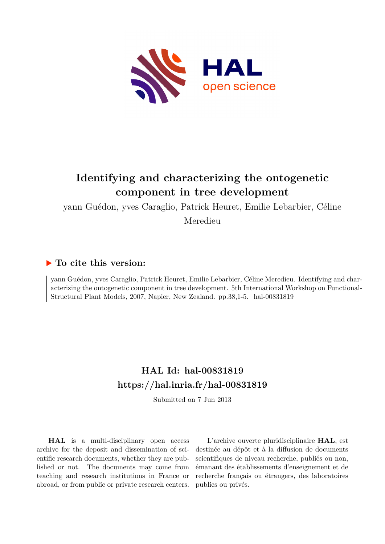

# **Identifying and characterizing the ontogenetic component in tree development**

yann Guédon, yves Caraglio, Patrick Heuret, Emilie Lebarbier, Céline

Meredieu

## **To cite this version:**

yann Guédon, yves Caraglio, Patrick Heuret, Emilie Lebarbier, Céline Meredieu. Identifying and characterizing the ontogenetic component in tree development. 5th International Workshop on Functional-Structural Plant Models, 2007, Napier, New Zealand. pp.38,1-5. hal-00831819

## **HAL Id: hal-00831819 <https://hal.inria.fr/hal-00831819>**

Submitted on 7 Jun 2013

**HAL** is a multi-disciplinary open access archive for the deposit and dissemination of scientific research documents, whether they are published or not. The documents may come from teaching and research institutions in France or abroad, or from public or private research centers.

L'archive ouverte pluridisciplinaire **HAL**, est destinée au dépôt et à la diffusion de documents scientifiques de niveau recherche, publiés ou non, émanant des établissements d'enseignement et de recherche français ou étrangers, des laboratoires publics ou privés.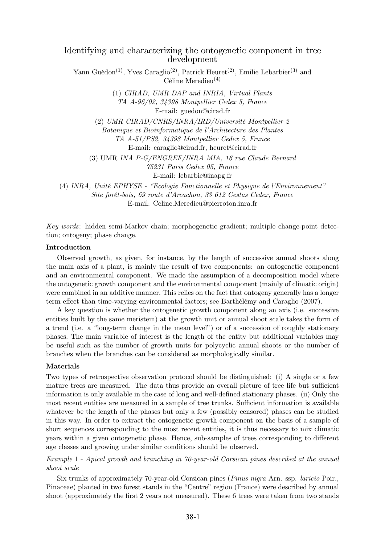## Identifying and characterizing the ontogenetic component in tree development

Yann Guédon<sup>(1)</sup>, Yves Caraglio<sup>(2)</sup>, Patrick Heuret<sup>(2)</sup>, Emilie Lebarbier<sup>(3)</sup> and Céline Meredieu(4)

(1) CIRAD, UMR DAP and INRIA, Virtual Plants TA A-96/02, 34398 Montpellier Cedex 5, France E-mail: guedon@cirad.fr (2) UMR CIRAD/CNRS/INRA/IRD/Université Montpellier 2 Botanique et Bioinformatique de l'Architecture des Plantes TA A-51/PS2, 34398 Montpellier Cedex 5, France E-mail: caraglio@cirad.fr, heuret@cirad.fr (3) UMR INA P-G/ENGREF/INRA MIA, 16 rue Claude Bernard 75231 Paris Cedex 05, France

E-mail: lebarbie@inapg.fr

(4) INRA, Unité EPHYSE - "Ecologie Fonctionnelle et Physique de l'Environnement" Site forêt-bois, 69 route d'Arcachon, 33 612 Cestas Cedex, France E-mail: Celine.Meredieu@pierroton.inra.fr

Key words: hidden semi-Markov chain; morphogenetic gradient; multiple change-point detection; ontogeny; phase change.

#### Introduction

Observed growth, as given, for instance, by the length of successive annual shoots along the main axis of a plant, is mainly the result of two components: an ontogenetic component and an environmental component. We made the assumption of a decomposition model where the ontogenetic growth component and the environmental component (mainly of climatic origin) were combined in an additive manner. This relies on the fact that ontogeny generally has a longer term effect than time-varying environmental factors; see Barthélémy and Caraglio (2007).

A key question is whether the ontogenetic growth component along an axis (i.e. successive entities built by the same meristem) at the growth unit or annual shoot scale takes the form of a trend (i.e. a "long-term change in the mean level") or of a succession of roughly stationary phases. The main variable of interest is the length of the entity but additional variables may be useful such as the number of growth units for polycyclic annual shoots or the number of branches when the branches can be considered as morphologically similar.

### Materials

Two types of retrospective observation protocol should be distinguished: (i) A single or a few mature trees are measured. The data thus provide an overall picture of tree life but sufficient information is only available in the case of long and well-defined stationary phases. (ii) Only the most recent entities are measured in a sample of tree trunks. Sufficient information is available whatever be the length of the phases but only a few (possibly censored) phases can be studied in this way. In order to extract the ontogenetic growth component on the basis of a sample of short sequences corresponding to the most recent entities, it is thus necessary to mix climatic years within a given ontogenetic phase. Hence, sub-samples of trees corresponding to different age classes and growing under similar conditions should be observed.

## Example 1 - Apical growth and branching in 70-year-old Corsican pines described at the annual shoot scale

Six trunks of approximately 70-year-old Corsican pines (Pinus nigra Arn. ssp. laricio Poir., Pinaceae) planted in two forest stands in the "Centre" region (France) were described by annual shoot (approximately the first 2 years not measured). These 6 trees were taken from two stands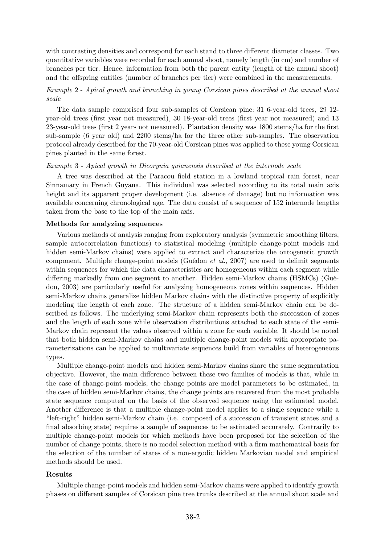with contrasting densities and correspond for each stand to three different diameter classes. Two quantitative variables were recorded for each annual shoot, namely length (in cm) and number of branches per tier. Hence, information from both the parent entity (length of the annual shoot) and the offspring entities (number of branches per tier) were combined in the measurements.

## Example 2 - Apical growth and branching in young Corsican pines described at the annual shoot scale

The data sample comprised four sub-samples of Corsican pine: 31 6-year-old trees, 29 12 year-old trees (first year not measured), 30 18-year-old trees (first year not measured) and 13 23-year-old trees (first 2 years not measured). Plantation density was 1800 stems/ha for the first sub-sample (6 year old) and 2200 stems/ha for the three other sub-samples. The observation protocol already described for the 70-year-old Corsican pines was applied to these young Corsican pines planted in the same forest.

#### Example 3 - Apical growth in Dicorynia guianensis described at the internode scale

A tree was described at the Paracou field station in a lowland tropical rain forest, near Sinnamary in French Guyana. This individual was selected according to its total main axis height and its apparent proper development (i.e. absence of damage) but no information was available concerning chronological age. The data consist of a sequence of 152 internode lengths taken from the base to the top of the main axis.

#### Methods for analyzing sequences

Various methods of analysis ranging from exploratory analysis (symmetric smoothing filters, sample autocorrelation functions) to statistical modeling (multiple change-point models and hidden semi-Markov chains) were applied to extract and characterize the ontogenetic growth component. Multiple change-point models (Guédon et al., 2007) are used to delimit segments within sequences for which the data characteristics are homogeneous within each segment while differing markedly from one segment to another. Hidden semi-Markov chains (HSMCs) (Guédon, 2003) are particularly useful for analyzing homogeneous zones within sequences. Hidden semi-Markov chains generalize hidden Markov chains with the distinctive property of explicitly modeling the length of each zone. The structure of a hidden semi-Markov chain can be described as follows. The underlying semi-Markov chain represents both the succession of zones and the length of each zone while observation distributions attached to each state of the semi-Markov chain represent the values observed within a zone for each variable. It should be noted that both hidden semi-Markov chains and multiple change-point models with appropriate parameterizations can be applied to multivariate sequences build from variables of heterogeneous types.

Multiple change-point models and hidden semi-Markov chains share the same segmentation objective. However, the main difference between these two families of models is that, while in the case of change-point models, the change points are model parameters to be estimated, in the case of hidden semi-Markov chains, the change points are recovered from the most probable state sequence computed on the basis of the observed sequence using the estimated model. Another difference is that a multiple change-point model applies to a single sequence while a "left-right" hidden semi-Markov chain (i.e. composed of a succession of transient states and a final absorbing state) requires a sample of sequences to be estimated accurately. Contrarily to multiple change-point models for which methods have been proposed for the selection of the number of change points, there is no model selection method with a firm mathematical basis for the selection of the number of states of a non-ergodic hidden Markovian model and empirical methods should be used.

#### Results

Multiple change-point models and hidden semi-Markov chains were applied to identify growth phases on different samples of Corsican pine tree trunks described at the annual shoot scale and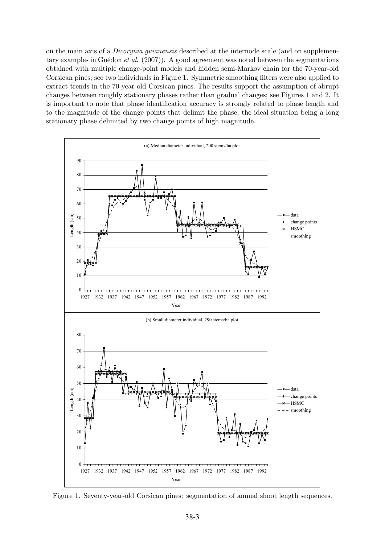on the main axis of a Dicorynia guianensis described at the internode scale (and on supplementary examples in Guédon et al. (2007)). A good agreement was noted between the segmentations obtained with multiple change-point models and hidden semi-Markov chain for the 70-year-old Corsican pines; see two individuals in Figure 1. Symmetric smoothing filters were also applied to extract trends in the 70-year-old Corsican pines. The results support the assumption of abrupt changes between roughly stationary phases rather than gradual changes; see Figures 1 and 2. It is important to note that phase identification accuracy is strongly related to phase length and to the magnitude of the change points that delimit the phase, the ideal situation being a long stationary phase delimited by two change points of high magnitude.



Figure 1. Seventy-year-old Corsican pines: segmentation of annual shoot length sequences.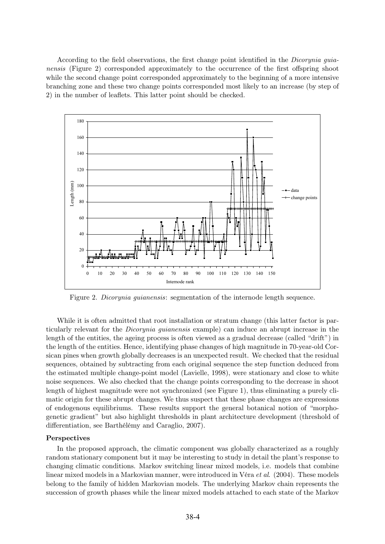According to the field observations, the first change point identified in the Dicorynia guianensis (Figure 2) corresponded approximately to the occurrence of the first offspring shoot while the second change point corresponded approximately to the beginning of a more intensive branching zone and these two change points corresponded most likely to an increase (by step of 2) in the number of leaflets. This latter point should be checked.



Figure 2. Dicorynia guianensis: segmentation of the internode length sequence.

While it is often admitted that root installation or stratum change (this latter factor is particularly relevant for the Dicorynia guianensis example) can induce an abrupt increase in the length of the entities, the ageing process is often viewed as a gradual decrease (called "drift") in the length of the entities. Hence, identifying phase changes of high magnitude in 70-year-old Corsican pines when growth globally decreases is an unexpected result. We checked that the residual sequences, obtained by subtracting from each original sequence the step function deduced from the estimated multiple change-point model (Lavielle, 1998), were stationary and close to white noise sequences. We also checked that the change points corresponding to the decrease in shoot length of highest magnitude were not synchronized (see Figure 1), thus eliminating a purely climatic origin for these abrupt changes. We thus suspect that these phase changes are expressions of endogenous equilibriums. These results support the general botanical notion of "morphogenetic gradient" but also highlight thresholds in plant architecture development (threshold of differentiation, see Barthélémy and Caraglio, 2007).

### Perspectives

In the proposed approach, the climatic component was globally characterized as a roughly random stationary component but it may be interesting to study in detail the plant's response to changing climatic conditions. Markov switching linear mixed models, i.e. models that combine linear mixed models in a Markovian manner, were introduced in Véra et al. (2004). These models belong to the family of hidden Markovian models. The underlying Markov chain represents the succession of growth phases while the linear mixed models attached to each state of the Markov